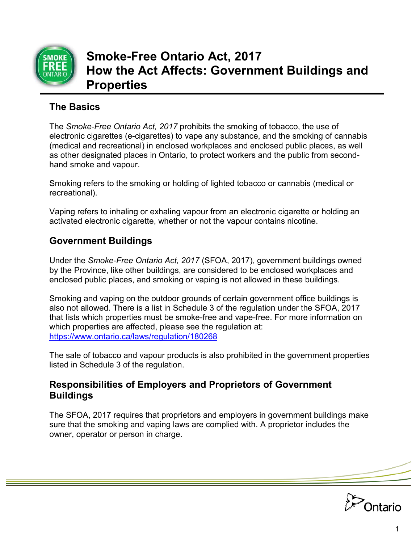

# **Smoke-Free Ontario Act, 2017 How the Act Affects: Government Buildings and Properties**

# **The Basics**

The *Smoke-Free Ontario Act, 2017* prohibits the smoking of tobacco, the use of electronic cigarettes (e-cigarettes) to vape any substance, and the smoking of cannabis (medical and recreational) in enclosed workplaces and enclosed public places, as well as other designated places in Ontario, to protect workers and the public from secondhand smoke and vapour.

Smoking refers to the smoking or holding of lighted tobacco or cannabis (medical or recreational).

Vaping refers to inhaling or exhaling vapour from an electronic cigarette or holding an activated electronic cigarette, whether or not the vapour contains nicotine.

## **Government Buildings**

Under the *Smoke-Free Ontario Act, 2017* (SFOA, 2017), government buildings owned by the Province, like other buildings, are considered to be enclosed workplaces and enclosed public places, and smoking or vaping is not allowed in these buildings.

Smoking and vaping on the outdoor grounds of certain government office buildings is also not allowed. There is a list in Schedule 3 of the regulation under the SFOA, 2017 that lists which properties must be smoke-free and vape-free. For more information on which properties are affected, please see the regulation at: <https://www.ontario.ca/laws/regulation/180268>

The sale of tobacco and vapour products is also prohibited in the government properties listed in Schedule 3 of the regulation.

#### **Responsibilities of Employers and Proprietors of Government Buildings**

The SFOA, 2017 requires that proprietors and employers in government buildings make sure that the smoking and vaping laws are complied with. A proprietor includes the owner, operator or person in charge.

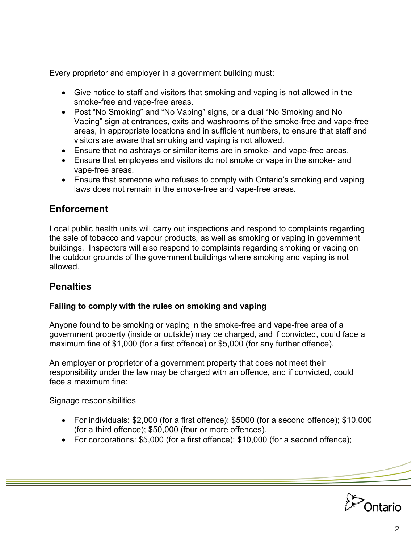Every proprietor and employer in a government building must:

- Give notice to staff and visitors that smoking and vaping is not allowed in the smoke-free and vape-free areas.
- Post "No Smoking" and "No Vaping" signs, or a dual "No Smoking and No Vaping" sign at entrances, exits and washrooms of the smoke-free and vape-free areas, in appropriate locations and in sufficient numbers, to ensure that staff and visitors are aware that smoking and vaping is not allowed.
- Ensure that no ashtrays or similar items are in smoke- and vape-free areas.
- Ensure that employees and visitors do not smoke or vape in the smoke- and vape-free areas.
- Ensure that someone who refuses to comply with Ontario's smoking and vaping laws does not remain in the smoke-free and vape-free areas.

### **Enforcement**

Local public health units will carry out inspections and respond to complaints regarding the sale of tobacco and vapour products, as well as smoking or vaping in government buildings. Inspectors will also respond to complaints regarding smoking or vaping on the outdoor grounds of the government buildings where smoking and vaping is not allowed.

### **Penalties**

#### **Failing to comply with the rules on smoking and vaping**

Anyone found to be smoking or vaping in the smoke-free and vape-free area of a government property (inside or outside) may be charged, and if convicted, could face a maximum fine of \$1,000 (for a first offence) or \$5,000 (for any further offence).

An employer or proprietor of a government property that does not meet their responsibility under the law may be charged with an offence, and if convicted, could face a maximum fine:

Signage responsibilities

- For individuals: \$2,000 (for a first offence); \$5000 (for a second offence); \$10,000 (for a third offence); \$50,000 (four or more offences).
- For corporations: \$5,000 (for a first offence); \$10,000 (for a second offence);